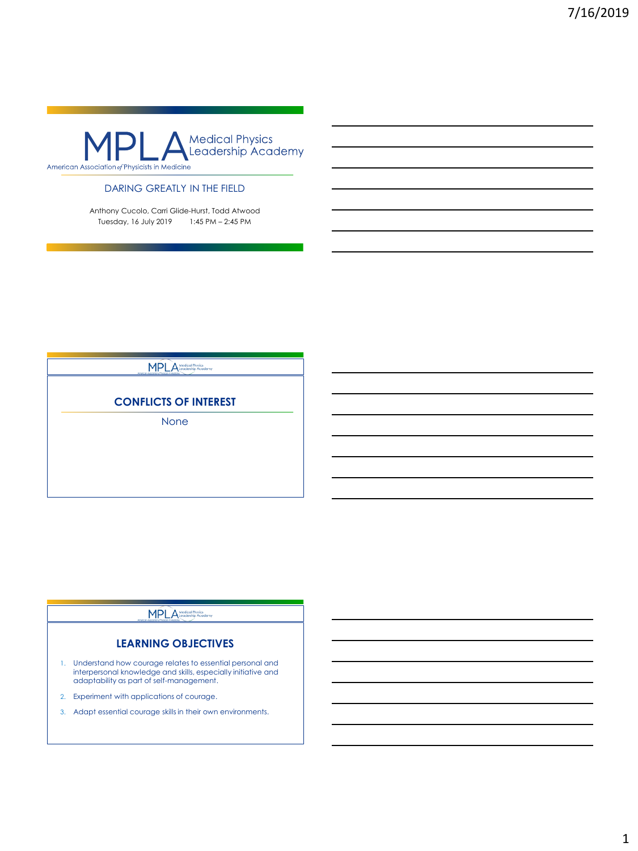

## DARING GREATLY IN THE FIELD

Anthony Cucolo, Carri Glide-Hurst, Todd Atwood Tuesday, 16 July 2019 1:45 PM – 2:45 PM

## MPLA Medical Physics

## **CONFLICTS OF INTEREST**

None

## **MPLA**

## **LEARNING OBJECTIVES**

- 1. Understand how courage relates to essential personal and interpersonal knowledge and skills, especially initiative and adaptability as part of self-management.
- 2. Experiment with applications of courage.
- 3. Adapt essential courage skills in their own environments.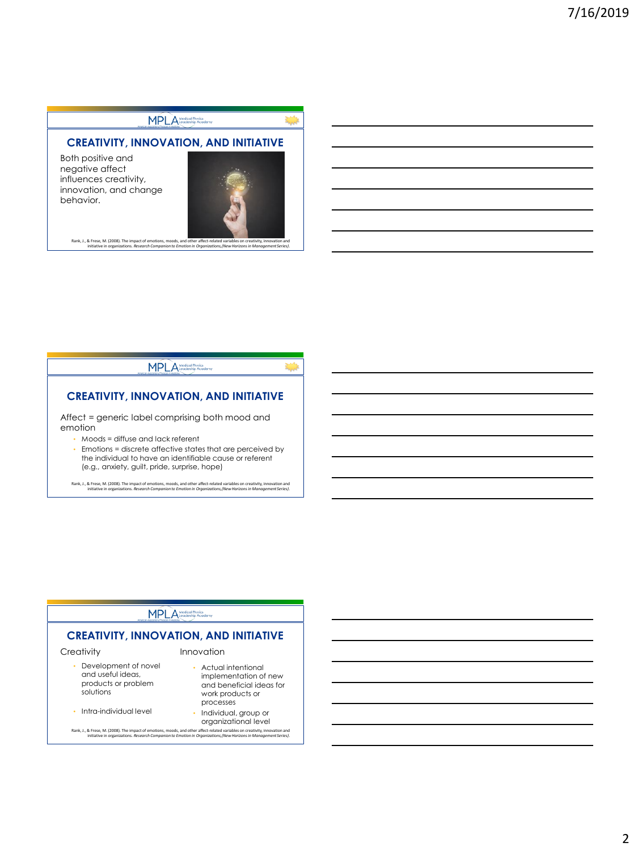# MPLA Medical Physics

## **CREATIVITY, INNOVATION, AND INITIATIVE**

Both positive and negative affect influences creativity, innovation, and change behavior.



Rank, J., & Frese, M. (2008). The impact of emotions, moods, and other affect-related variables on creativity, innovation and<br>!initiative in organizations. Research Companion to Emotion in Organizations, (New Horizons in M

#### MPLA Medical Physics

# **CREATIVITY, INNOVATION, AND INITIATIVE**

Affect = generic label comprising both mood and emotion

- Moods = diffuse and lack referent
- Emotions = discrete affective states that are perceived by the individual to have an identifiable cause or referent (e.g., anxiety, guilt, pride, surprise, hope)

Rank, J., & Frese, M. (2008). The impact of emotions, moods, and other affect-related variables on creativity, innovation and<br>initiative in organizations. Research Companion to Emotion in Organizations, (New Horizons in Ma

#### MPLA Medical Physics

## **CREATIVITY, INNOVATION, AND INITIATIVE**

#### **Creativity**

- Development of novel and useful ideas, products or problem solutions
- Intra-individual level

#### Innovation

- Actual intentional implementation of new and beneficial ideas for work products or processes
- Individual, group or organizational level

Rank, J., & Frese, M. (2008). The impact of emotions, moods, and other affect-related variables on creativity, innovation and<br>!initiative in organizations. Research Companion to Emotion in Organizations, (New Horizons in M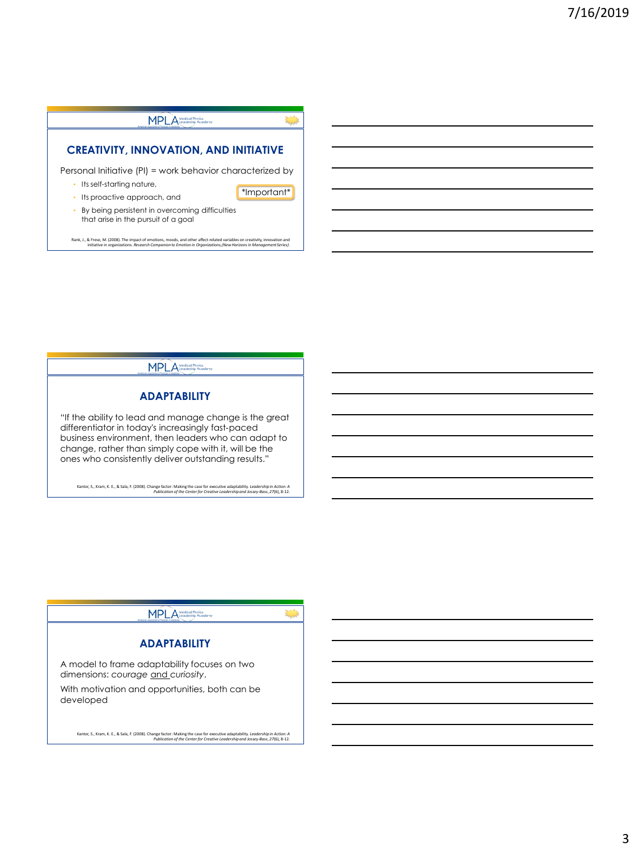# MPLA<sup>Medical Physic</sup>

## **CREATIVITY, INNOVATION, AND INITIATIVE**

Personal Initiative (PI) = work behavior characterized by

- Its self-starting nature,
- Its proactive approach, and

\*Important\*

• By being persistent in overcoming difficulties that arise in the pursuit of a goal

Rank, J., & Frese, M. (2008). The impact of emotions, moods, and other affect-related variables on creativity, innovation and<br>!initiative in organizations. Research Companion to Emotion in Organizations, (New Horizons in M

MPLA<sup>Medical Physics</sup>

#### **ADAPTABILITY**

"If the ability to lead and manage change is the great differentiator in today's increasingly fast‐paced business environment, then leaders who can adapt to change, rather than simply cope with it, will be the ones who consistently deliver outstanding results."

Kantor, S., Kram, K. E., & Sala, F. (2008). Change factor: Making the case for executive adaptability. *Leadership in Action: A*<br>Publication of the Center for Creative Leadership and Jossey-Bass, 27(6), 8-12.